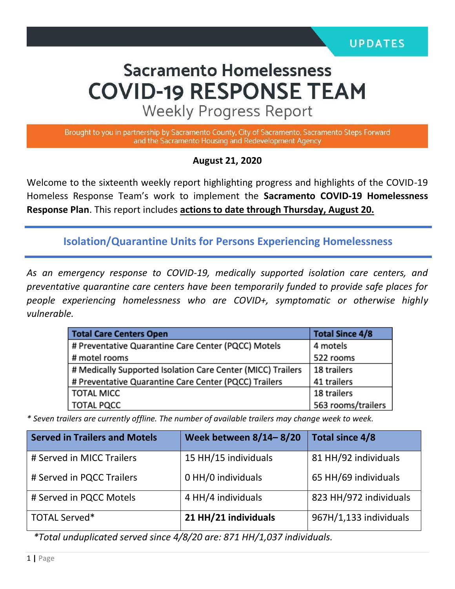# **Sacramento Homelessness COVID-19 RESPONSE TEAM**

**Weekly Progress Report** 

Brought to you in partnership by Sacramento County, City of Sacramento, Sacramento Steps Forward and the Sacramento Housing and Redevelopment Agency

#### **August 21, 2020**

Welcome to the sixteenth weekly report highlighting progress and highlights of the COVID-19 Homeless Response Team's work to implement the **Sacramento COVID-19 Homelessness Response Plan**. This report includes **actions to date through Thursday, August 20.** 

**Isolation/Quarantine Units for Persons Experiencing Homelessness**

*As an emergency response to COVID-19, medically supported isolation care centers, and preventative quarantine care centers have been temporarily funded to provide safe places for people experiencing homelessness who are COVID+, symptomatic or otherwise highly vulnerable.*

| <b>Total Care Centers Open</b>                              | <b>Total Since 4/8</b> |  |
|-------------------------------------------------------------|------------------------|--|
| # Preventative Quarantine Care Center (PQCC) Motels         | 4 motels               |  |
| # motel rooms                                               | 522 rooms              |  |
| # Medically Supported Isolation Care Center (MICC) Trailers | 18 trailers            |  |
| # Preventative Quarantine Care Center (PQCC) Trailers       | 41 trailers            |  |
| <b>TOTAL MICC</b>                                           | 18 trailers            |  |
| <b>TOTAL PQCC</b>                                           | 563 rooms/trailers     |  |

*\* Seven trailers are currently offline. The number of available trailers may change week to week.*

| <b>Served in Trailers and Motels</b> | Week between 8/14-8/20 | Total since 4/8        |
|--------------------------------------|------------------------|------------------------|
| # Served in MICC Trailers            | 15 HH/15 individuals   | 81 HH/92 individuals   |
| # Served in PQCC Trailers            | 0 HH/0 individuals     | 65 HH/69 individuals   |
| # Served in PQCC Motels              | 4 HH/4 individuals     | 823 HH/972 individuals |
| <b>TOTAL Served*</b>                 | 21 HH/21 individuals   | 967H/1,133 individuals |

*\*Total unduplicated served since 4/8/20 are: 871 HH/1,037 individuals.*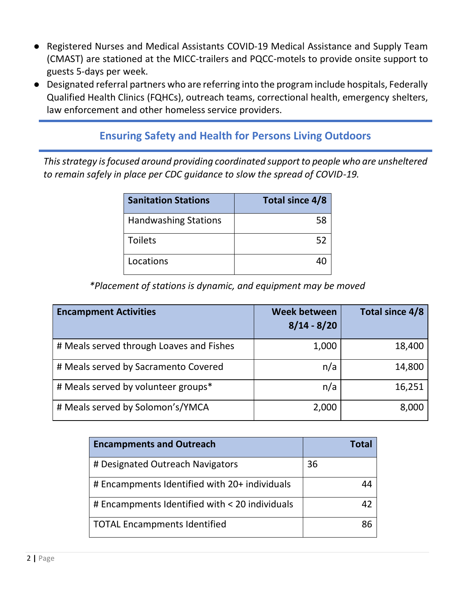- Registered Nurses and Medical Assistants COVID-19 Medical Assistance and Supply Team (CMAST) are stationed at the MICC-trailers and PQCC-motels to provide onsite support to guests 5-days per week.
- Designated referral partners who are referring into the program include hospitals, Federally Qualified Health Clinics (FQHCs), outreach teams, correctional health, emergency shelters, law enforcement and other homeless service providers.

#### **Ensuring Safety and Health for Persons Living Outdoors**

*This strategy is focused around providing coordinated support to people who are unsheltered to remain safely in place per CDC guidance to slow the spread of COVID-19.*

| <b>Sanitation Stations</b>  | <b>Total since 4/8</b> |
|-----------------------------|------------------------|
| <b>Handwashing Stations</b> | 58                     |
| <b>Toilets</b>              | 52                     |
| Locations                   |                        |

*\*Placement of stations is dynamic, and equipment may be moved*

| <b>Encampment Activities</b>             | <b>Week between</b><br>$8/14 - 8/20$ | Total since 4/8 |
|------------------------------------------|--------------------------------------|-----------------|
| # Meals served through Loaves and Fishes | 1,000                                | 18,400          |
| # Meals served by Sacramento Covered     | n/a                                  | 14,800          |
| # Meals served by volunteer groups*      | n/a                                  | 16,251          |
| # Meals served by Solomon's/YMCA         | 2,000                                | 8,000           |

| <b>Encampments and Outreach</b>                |    |
|------------------------------------------------|----|
| # Designated Outreach Navigators               | 36 |
| # Encampments Identified with 20+ individuals  |    |
| # Encampments Identified with < 20 individuals |    |
| <b>TOTAL Encampments Identified</b>            |    |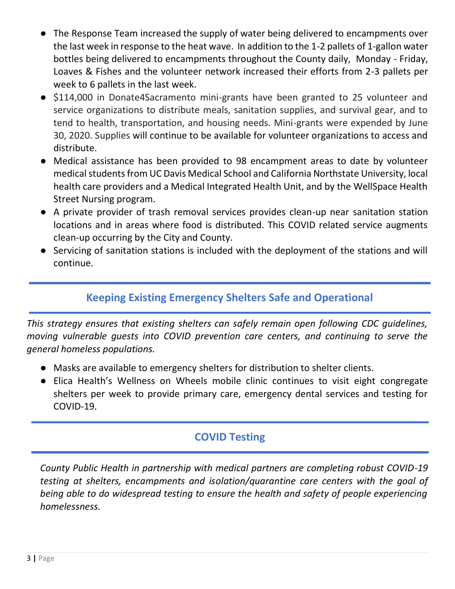- The Response Team increased the supply of water being delivered to encampments over the last week in response to the heat wave. In addition to the 1-2 pallets of 1-gallon water bottles being delivered to encampments throughout the County daily, Monday - Friday, Loaves & Fishes and the volunteer network increased their efforts from 2-3 pallets per week to 6 pallets in the last week.
- \$114,000 in Donate4Sacramento mini-grants have been granted to 25 volunteer and service organizations to distribute meals, sanitation supplies, and survival gear, and to tend to health, transportation, and housing needs. Mini-grants were expended by June 30, 2020. Supplies will continue to be available for volunteer organizations to access and distribute.
- Medical assistance has been provided to 98 encampment areas to date by volunteer medical students from UC Davis Medical School and California Northstate University, local health care providers and a Medical Integrated Health Unit, and by the WellSpace Health Street Nursing program.
- A private provider of trash removal services provides clean-up near sanitation station locations and in areas where food is distributed. This COVID related service augments clean-up occurring by the City and County.
- Servicing of sanitation stations is included with the deployment of the stations and will continue.

## **Keeping Existing Emergency Shelters Safe and Operational**

*This strategy ensures that existing shelters can safely remain open following CDC guidelines, moving vulnerable guests into COVID prevention care centers, and continuing to serve the general homeless populations.* 

- Masks are available to emergency shelters for distribution to shelter clients.
- Elica Health's Wellness on Wheels mobile clinic continues to visit eight congregate shelters per week to provide primary care, emergency dental services and testing for COVID-19.

## **COVID Testing**

*County Public Health in partnership with medical partners are completing robust COVID-19 testing at shelters, encampments and isolation/quarantine care centers with the goal of being able to do widespread testing to ensure the health and safety of people experiencing homelessness.*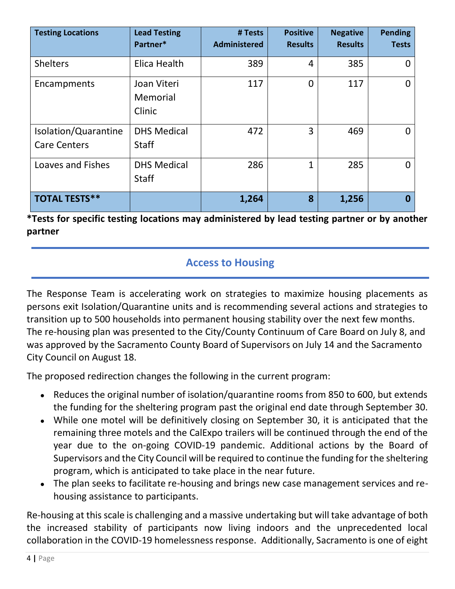| <b>Testing Locations</b>                    | <b>Lead Testing</b><br>Partner*    | # Tests<br><b>Administered</b> | <b>Positive</b><br><b>Results</b> | <b>Negative</b><br><b>Results</b> | <b>Pending</b><br><b>Tests</b> |
|---------------------------------------------|------------------------------------|--------------------------------|-----------------------------------|-----------------------------------|--------------------------------|
| <b>Shelters</b>                             | Elica Health                       | 389                            | 4                                 | 385                               |                                |
| Encampments                                 | Joan Viteri<br>Memorial<br>Clinic  | 117                            | 0                                 | 117                               | 0                              |
| Isolation/Quarantine<br><b>Care Centers</b> | <b>DHS Medical</b><br><b>Staff</b> | 472                            | 3                                 | 469                               | O                              |
| Loaves and Fishes                           | <b>DHS Medical</b><br><b>Staff</b> | 286                            | $\mathbf{1}$                      | 285                               | U                              |
| <b>TOTAL TESTS**</b>                        |                                    | 1,264                          | 8                                 | 1,256                             |                                |

**\*Tests for specific testing locations may administered by lead testing partner or by another partner**

### **Access to Housing**

The Response Team is accelerating work on strategies to maximize housing placements as persons exit Isolation/Quarantine units and is recommending several actions and strategies to transition up to 500 households into permanent housing stability over the next few months. The re-housing plan was presented to the City/County Continuum of Care Board on July 8, and was approved by the Sacramento County Board of Supervisors on July 14 and the Sacramento City Council on August 18.

The proposed redirection changes the following in the current program:

- Reduces the original number of isolation/quarantine rooms from 850 to 600, but extends the funding for the sheltering program past the original end date through September 30.
- While one motel will be definitively closing on September 30, it is anticipated that the remaining three motels and the CalExpo trailers will be continued through the end of the year due to the on-going COVID-19 pandemic. Additional actions by the Board of Supervisors and the City Council will be required to continue the funding for the sheltering program, which is anticipated to take place in the near future.
- The plan seeks to facilitate re-housing and brings new case management services and rehousing assistance to participants.

Re-housing at this scale is challenging and a massive undertaking but will take advantage of both the increased stability of participants now living indoors and the unprecedented local collaboration in the COVID-19 homelessness response. Additionally, Sacramento is one of eight